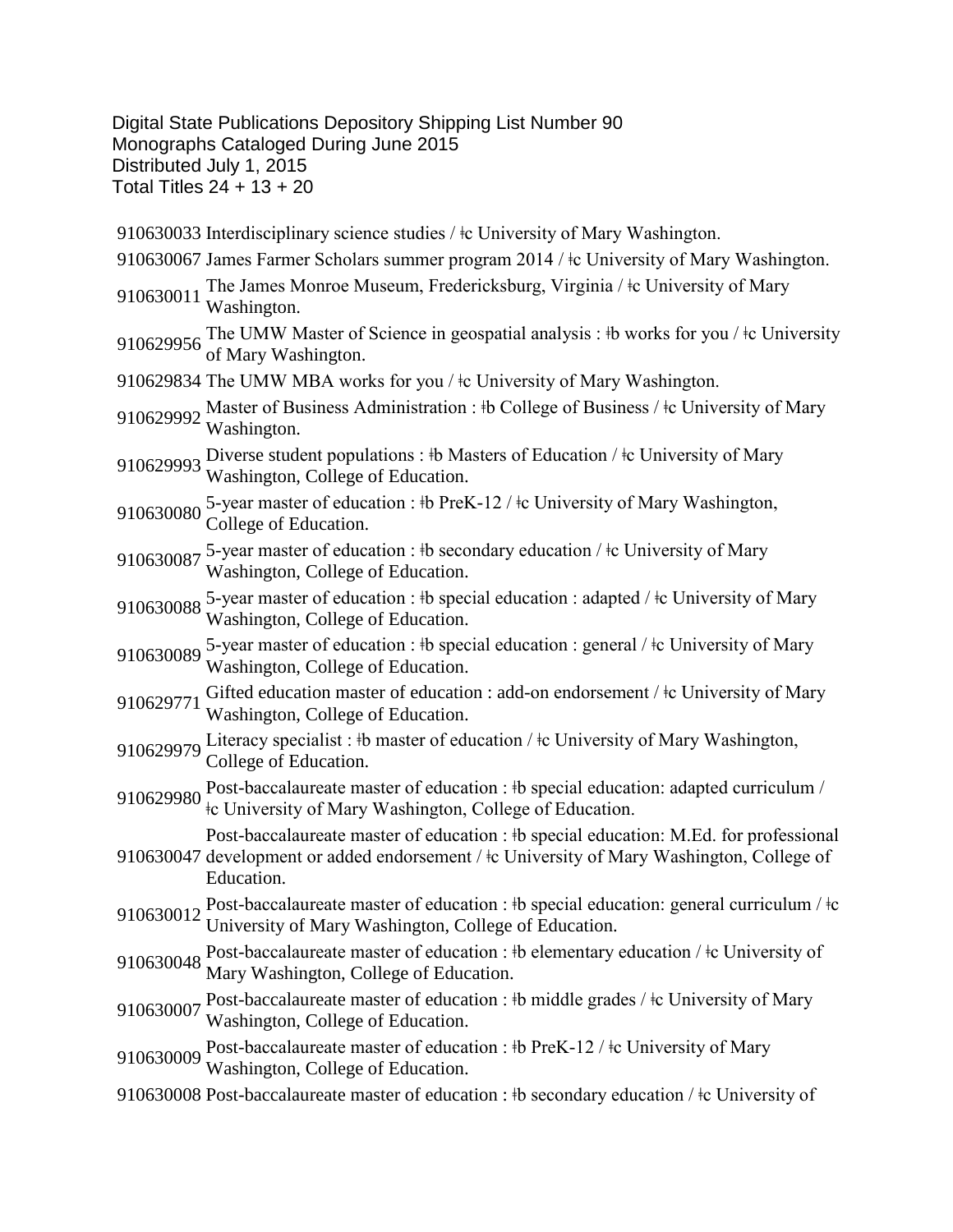Digital State Publications Depository Shipping List Number 90 Monographs Cataloged During June 2015 Distributed July 1, 2015 Total Titles 24 + 13 + 20

910630033 Interdisciplinary science studies /  $\pm c$  University of Mary Washington. 910630067 James Farmer Scholars summer program 2014 /  $\pm$  University of Mary Washington. 910630011 The James Monroe Museum, Fredericksburg, Virginia / ‡c University of Mary Washington. 910629956 The UMW Master of Science in geospatial analysis : ‡b works for you / ‡c University of Mary Washington. 910629834 The UMW MBA works for you /  $\pm$ c University of Mary Washington. 910629992 Master of Business Administration : ‡b College of Business / ‡c University of Mary Washington. 910629993 Diverse student populations : ‡b Masters of Education / ‡c University of Mary Washington, College of Education. 910630080 5-year master of education :  $\frac{1}{2}$  PreK-12 /  $\frac{1}{2}$  University of Mary Washington, College of Education. 910630087 5-year master of education : ‡b secondary education / ‡c University of Mary Washington, College of Education. 910630088 5-year master of education : ‡b special education : adapted / ‡c University of Mary Washington, College of Education. 910630089 5-year master of education : ‡b special education : general / ‡c University of Mary Washington, College of Education. 910629771 Gifted education master of education : add-on endorsement /  $\pm c$  University of Mary Washington, College of Education. 910629979 Literacy specialist : ‡b master of education / ‡c University of Mary Washington, College of Education. 910629980 Post-baccalaureate master of education : ‡b special education: adapted curriculum / ǂc University of Mary Washington, College of Education. 910630047 development or added endorsement /  $\pm$ c University of Mary Washington, College of Post-baccalaureate master of education :  $\dagger$ b special education: M.Ed. for professional Education. 910630012 Post-baccalaureate master of education : ‡b special education: general curriculum /  $\pm c$ University of Mary Washington, College of Education. 910630048 Post-baccalaureate master of education : ‡b elementary education / ‡c University of Mary Washington, College of Education. 910630007 Post-baccalaureate master of education : ‡b middle grades / ‡c University of Mary Washington, College of Education. 910630009 Post-baccalaureate master of education : ‡b PreK-12 / ‡c University of Mary Washington, College of Education. 910630008 Post-baccalaureate master of education : ‡b secondary education / ‡c University of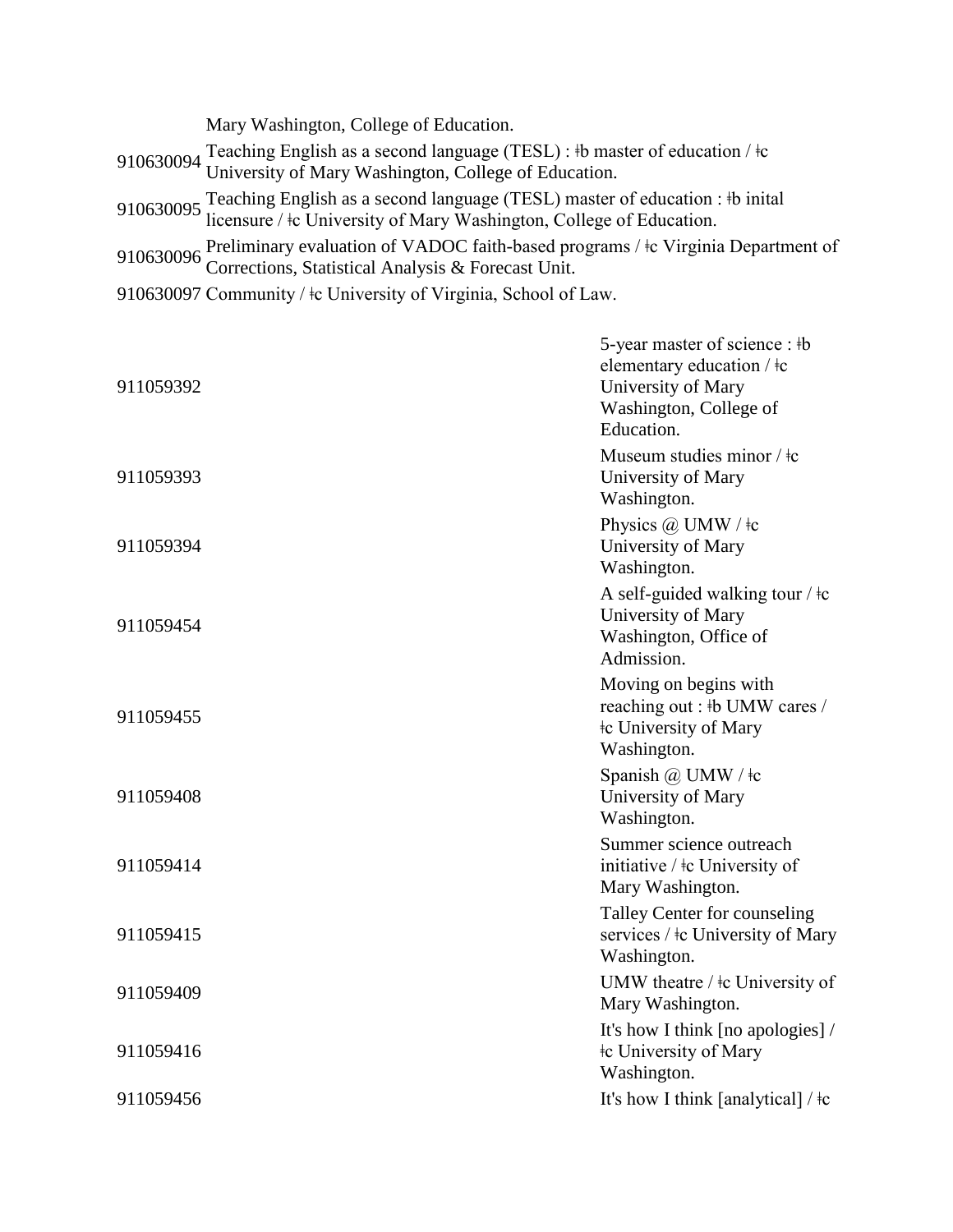| Mary Washington, College of Education.                                                                                                                          |
|-----------------------------------------------------------------------------------------------------------------------------------------------------------------|
| 910630094 Teaching English as a second language (TESL) : #b master of education / $\pm$ University of Mary Washington, College of Education.                    |
| 910630095 Teaching English as a second language (TESL) master of education : #b inital licensure / $\pm$ c University of Mary Washington, College of Education. |
| 910630096 Preliminary evaluation of VADOC faith-based programs / $\pm$ Virginia Department of Corrections, Statistical Analysis & Forecast Unit.                |

910630097 Community / ǂc University of Virginia, School of Law.

| 911059392 | 5-year master of science : #b<br>elementary education / ‡c<br>University of Mary<br>Washington, College of<br>Education. |
|-----------|--------------------------------------------------------------------------------------------------------------------------|
| 911059393 | Museum studies minor / $\frac{1}{k}$<br>University of Mary<br>Washington.                                                |
| 911059394 | Physics $(a)$ UMW / $\pm c$<br>University of Mary<br>Washington.                                                         |
| 911059454 | A self-guided walking tour / $\pm c$<br>University of Mary<br>Washington, Office of<br>Admission.                        |
| 911059455 | Moving on begins with<br>reaching out: #b UMW cares /<br><b>the University of Mary</b><br>Washington.                    |
| 911059408 | Spanish @ UMW / $\pm c$<br>University of Mary<br>Washington.                                                             |
| 911059414 | Summer science outreach<br>initiative / $\pm c$ University of<br>Mary Washington.                                        |
| 911059415 | Talley Center for counseling<br>services / ‡c University of Mary<br>Washington.                                          |
| 911059409 | UMW theatre / ‡c University of<br>Mary Washington.                                                                       |
| 911059416 | It's how I think [no apologies] /<br><b>the University of Mary</b><br>Washington.                                        |
| 911059456 | It's how I think [analytical] / $\pm c$                                                                                  |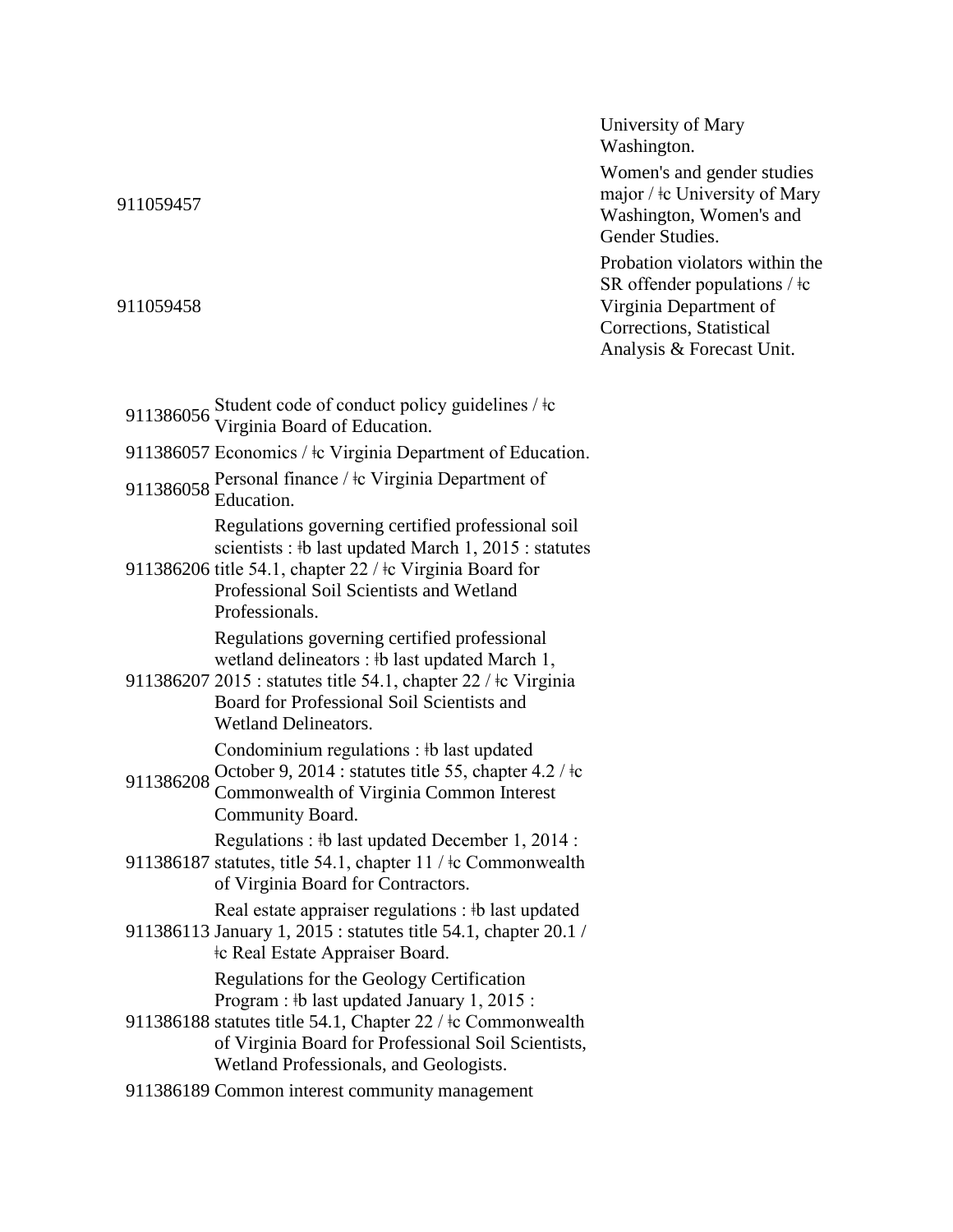911059457 major / ǂc University of Mary Washington, Women's and Gender Studies. 911059458 Probation violators within the SR offender populations  $/ \dagger c$ Virginia Department of Corrections, Statistical Analysis & Forecast Unit. 911386056 Student code of conduct policy guidelines /  $\pm$ c Virginia Board of Education. 911386057 Economics /  $\pm c$  Virginia Department of Education. 911386058 Personal finance /  $\pm c$  Virginia Department of Education. 911386206 title 54.1, chapter 22 / ǂc Virginia Board for Regulations governing certified professional soil scientists : ‡b last updated March 1, 2015 : statutes Professional Soil Scientists and Wetland Professionals. 911386207 2015 : statutes title 54.1, chapter 22 / ǂc Virginia Regulations governing certified professional wetland delineators : ‡b last updated March 1, Board for Professional Soil Scientists and Wetland Delineators. 911386208 October 9, 2014 : statutes title 55, chapter  $4.2 / \text{tc}$ <br>911386208 Commonwealth of Virginia Common Interact Condominium regulations : ǂb last updated Commonwealth of Virginia Common Interest Community Board. 911386187 statutes, title 54.1, chapter 11 / ǂc Commonwealth Regulations :  $\frac{1}{2}$  b last updated December 1, 2014 : of Virginia Board for Contractors. 911386113 January 1, 2015 : statutes title 54.1, chapter 20.1 / Real estate appraiser regulations : ‡b last updated ǂc Real Estate Appraiser Board. 911386188 statutes title 54.1, Chapter 22 / ǂc Commonwealth Regulations for the Geology Certification Program :  $\frac{1}{2}$  b last updated January 1, 2015 : of Virginia Board for Professional Soil Scientists, Wetland Professionals, and Geologists. 911386189 Common interest community management

University of Mary

Women's and gender studies

Washington.